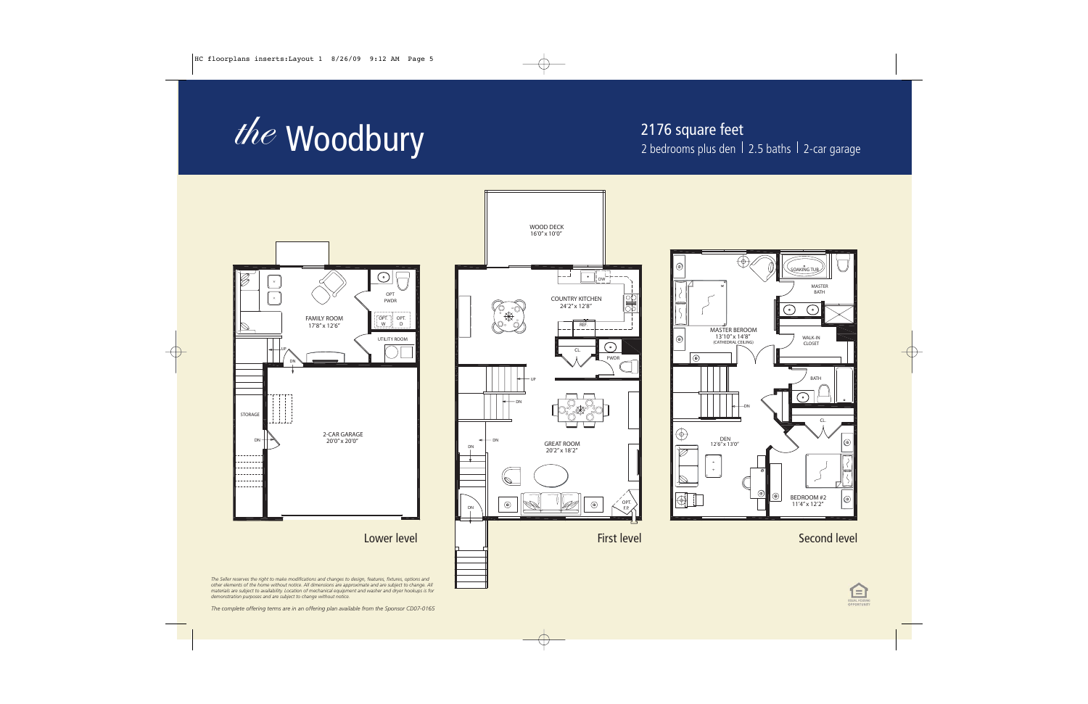

2176 square feet 2 bedrooms plus den  $\vert$  2.5 baths  $\vert$  2-car garage

 $\circledcirc$ 

 $\circledcirc$ 



*The complete offering terms are in an offering plan available from the Sponsor CD07-0165*